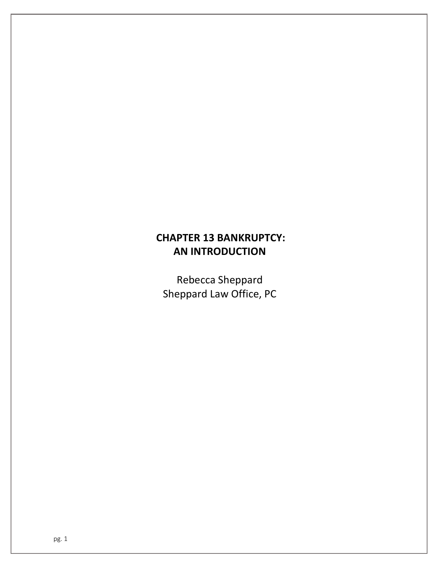# CHAPTER 13 BANKRUPTCY: AN INTRODUCTION

Rebecca Sheppard Sheppard Law Office, PC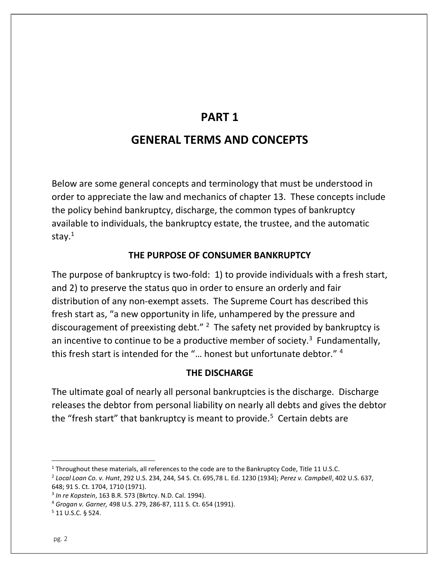# PART 1

# GENERAL TERMS AND CONCEPTS

Below are some general concepts and terminology that must be understood in order to appreciate the law and mechanics of chapter 13. These concepts include the policy behind bankruptcy, discharge, the common types of bankruptcy available to individuals, the bankruptcy estate, the trustee, and the automatic stay.<sup>1</sup>

## THE PURPOSE OF CONSUMER BANKRUPTCY

The purpose of bankruptcy is two-fold: 1) to provide individuals with a fresh start, and 2) to preserve the status quo in order to ensure an orderly and fair distribution of any non-exempt assets. The Supreme Court has described this fresh start as, "a new opportunity in life, unhampered by the pressure and discouragement of preexisting debt."  $2$  The safety net provided by bankruptcy is an incentive to continue to be a productive member of society.<sup>3</sup> Fundamentally, this fresh start is intended for the "… honest but unfortunate debtor." <sup>4</sup>

#### THE DISCHARGE

The ultimate goal of nearly all personal bankruptcies is the discharge. Discharge releases the debtor from personal liability on nearly all debts and gives the debtor the "fresh start" that bankruptcy is meant to provide.<sup>5</sup> Certain debts are

<sup>&</sup>lt;sup>1</sup> Throughout these materials, all references to the code are to the Bankruptcy Code, Title 11 U.S.C.

<sup>2</sup> Local Loan Co. v. Hunt, 292 U.S. 234, 244, 54 S. Ct. 695,78 L. Ed. 1230 (1934); Perez v. Campbell, 402 U.S. 637, 648; 91 S. Ct. 1704, 1710 (1971).

<sup>3</sup> In re Kopstein, 163 B.R. 573 (Bkrtcy. N.D. Cal. 1994).

<sup>4</sup> Grogan v. Garner, 498 U.S. 279, 286-87, 111 S. Ct. 654 (1991).

<sup>5</sup> 11 U.S.C. § 524.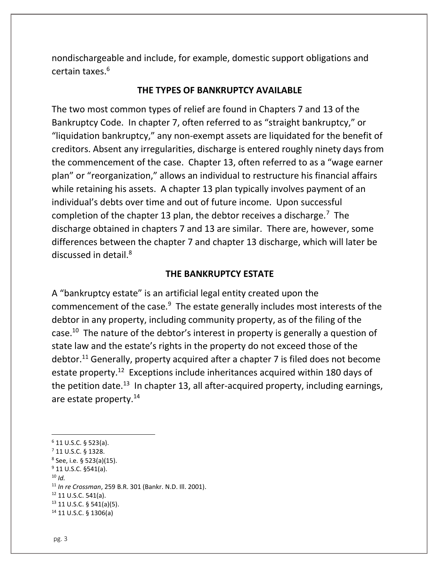nondischargeable and include, for example, domestic support obligations and certain taxes.<sup>6</sup>

#### THE TYPES OF BANKRUPTCY AVAILABLE

The two most common types of relief are found in Chapters 7 and 13 of the Bankruptcy Code. In chapter 7, often referred to as "straight bankruptcy," or "liquidation bankruptcy," any non-exempt assets are liquidated for the benefit of creditors. Absent any irregularities, discharge is entered roughly ninety days from the commencement of the case. Chapter 13, often referred to as a "wage earner plan" or "reorganization," allows an individual to restructure his financial affairs while retaining his assets. A chapter 13 plan typically involves payment of an individual's debts over time and out of future income. Upon successful completion of the chapter 13 plan, the debtor receives a discharge.<sup>7</sup> The discharge obtained in chapters 7 and 13 are similar. There are, however, some differences between the chapter 7 and chapter 13 discharge, which will later be discussed in detail.<sup>8</sup>

#### THE BANKRUPTCY ESTATE

A "bankruptcy estate" is an artificial legal entity created upon the commencement of the case.<sup>9</sup> The estate generally includes most interests of the debtor in any property, including community property, as of the filing of the case.<sup>10</sup> The nature of the debtor's interest in property is generally a question of state law and the estate's rights in the property do not exceed those of the debtor.<sup>11</sup> Generally, property acquired after a chapter 7 is filed does not become estate property.<sup>12</sup> Exceptions include inheritances acquired within 180 days of the petition date.<sup>13</sup> In chapter 13, all after-acquired property, including earnings, are estate property.<sup>14</sup>

- <sup>9</sup> 11 U.S.C. §541(a).
- $10$  Id.

<sup>12</sup> 11 U.S.C. 541(a).

 $6$  11 U.S.C. § 523(a).

<sup>7</sup> 11 U.S.C. § 1328.

<sup>8</sup> See, i.e. § 523(a)(15).

<sup>11</sup> In re Crossman, 259 B.R. 301 (Bankr. N.D. Ill. 2001).

 $13$  11 U.S.C. § 541(a)(5).

<sup>14</sup> 11 U.S.C. § 1306(a)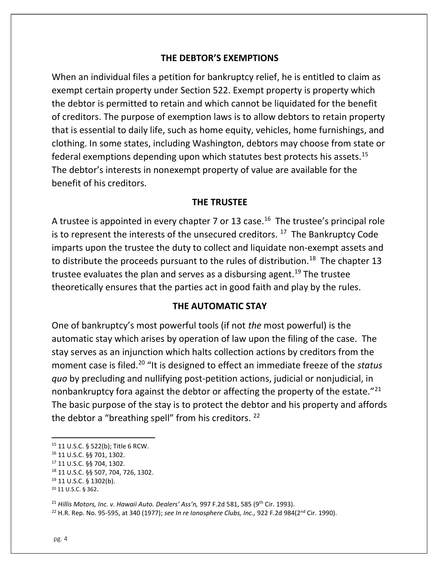### THE DEBTOR'S EXEMPTIONS

When an individual files a petition for bankruptcy relief, he is entitled to claim as exempt certain property under Section 522. Exempt property is property which the debtor is permitted to retain and which cannot be liquidated for the benefit of creditors. The purpose of exemption laws is to allow debtors to retain property that is essential to daily life, such as home equity, vehicles, home furnishings, and clothing. In some states, including Washington, debtors may choose from state or federal exemptions depending upon which statutes best protects his assets.<sup>15</sup> The debtor's interests in nonexempt property of value are available for the benefit of his creditors.

#### THE TRUSTEE

A trustee is appointed in every chapter 7 or 13 case.<sup>16</sup> The trustee's principal role is to represent the interests of the unsecured creditors.  $17$  The Bankruptcy Code imparts upon the trustee the duty to collect and liquidate non-exempt assets and to distribute the proceeds pursuant to the rules of distribution.<sup>18</sup> The chapter 13 trustee evaluates the plan and serves as a disbursing agent.<sup>19</sup> The trustee theoretically ensures that the parties act in good faith and play by the rules.

#### THE AUTOMATIC STAY

One of bankruptcy's most powerful tools (if not the most powerful) is the automatic stay which arises by operation of law upon the filing of the case. The stay serves as an injunction which halts collection actions by creditors from the moment case is filed.<sup>20</sup> "It is designed to effect an immediate freeze of the status quo by precluding and nullifying post-petition actions, judicial or nonjudicial, in nonbankruptcy fora against the debtor or affecting the property of the estate. $"^{21}$ The basic purpose of the stay is to protect the debtor and his property and affords the debtor a "breathing spell" from his creditors. <sup>22</sup>

 $21$  Hillis Motors, Inc. v. Hawaii Auto. Dealers' Ass'n, 997 F.2d 581, 585 (9<sup>th</sup> Cir. 1993). <sup>22</sup> H.R. Rep. No. 95-595, at 340 (1977); see In re Ionosphere Clubs, Inc., 922 F.2d 984(2<sup>nd</sup> Cir. 1990).

<sup>15</sup> 11 U.S.C. § 522(b); Title 6 RCW.

<sup>16</sup> 11 U.S.C. §§ 701, 1302.

<sup>17</sup> 11 U.S.C. §§ 704, 1302.

<sup>18</sup> 11 U.S.C. §§ 507, 704, 726, 1302.

<sup>19</sup> 11 U.S.C. § 1302(b).

<sup>20</sup> 11 U.S.C. § 362.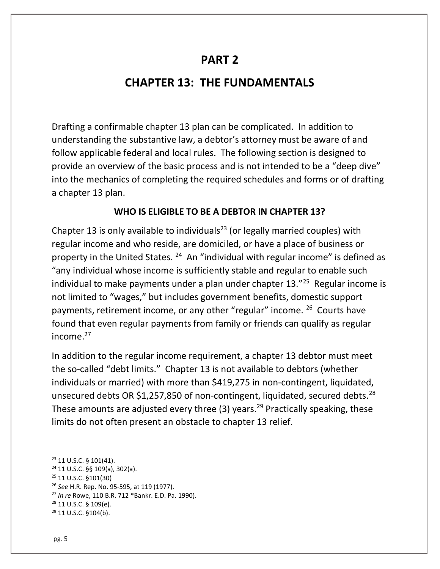# PART 2

# CHAPTER 13: THE FUNDAMENTALS

Drafting a confirmable chapter 13 plan can be complicated. In addition to understanding the substantive law, a debtor's attorney must be aware of and follow applicable federal and local rules. The following section is designed to provide an overview of the basic process and is not intended to be a "deep dive" into the mechanics of completing the required schedules and forms or of drafting a chapter 13 plan.

## WHO IS ELIGIBLE TO BE A DEBTOR IN CHAPTER 13?

Chapter 13 is only available to individuals<sup>23</sup> (or legally married couples) with regular income and who reside, are domiciled, or have a place of business or property in the United States.  $24$  An "individual with regular income" is defined as "any individual whose income is sufficiently stable and regular to enable such individual to make payments under a plan under chapter 13."<sup>25</sup> Regular income is not limited to "wages," but includes government benefits, domestic support payments, retirement income, or any other "regular" income. <sup>26</sup> Courts have found that even regular payments from family or friends can qualify as regular income.<sup>27</sup>

In addition to the regular income requirement, a chapter 13 debtor must meet the so-called "debt limits." Chapter 13 is not available to debtors (whether individuals or married) with more than \$419,275 in non-contingent, liquidated, unsecured debts OR \$1,257,850 of non-contingent, liquidated, secured debts.<sup>28</sup> These amounts are adjusted every three  $(3)$  years.<sup>29</sup> Practically speaking, these limits do not often present an obstacle to chapter 13 relief.

<sup>23</sup> 11 U.S.C. § 101(41).

<sup>24</sup> 11 U.S.C. §§ 109(a), 302(a).

<sup>25</sup> 11 U.S.C. §101(30)

<sup>&</sup>lt;sup>26</sup> See H.R. Rep. No. 95-595, at 119 (1977).

<sup>27</sup> In re Rowe, 110 B.R. 712 \*Bankr. E.D. Pa. 1990).

<sup>28</sup> 11 U.S.C. § 109(e).

<sup>29</sup> 11 U.S.C. §104(b).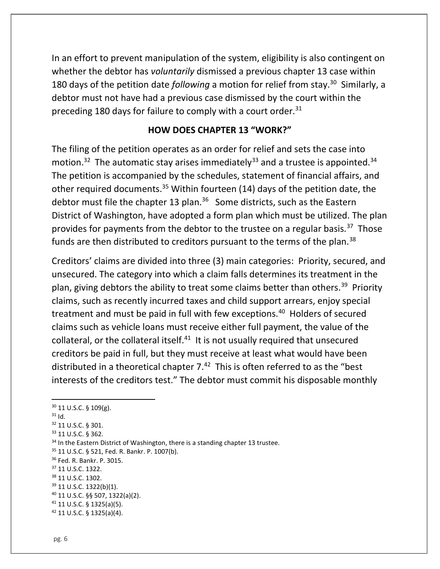In an effort to prevent manipulation of the system, eligibility is also contingent on whether the debtor has *voluntarily* dismissed a previous chapter 13 case within 180 days of the petition date following a motion for relief from stay.<sup>30</sup> Similarly, a debtor must not have had a previous case dismissed by the court within the preceding 180 days for failure to comply with a court order.<sup>31</sup>

### HOW DOES CHAPTER 13 "WORK?"

The filing of the petition operates as an order for relief and sets the case into motion.<sup>32</sup> The automatic stay arises immediately<sup>33</sup> and a trustee is appointed.<sup>34</sup> The petition is accompanied by the schedules, statement of financial affairs, and other required documents.<sup>35</sup> Within fourteen (14) days of the petition date, the debtor must file the chapter 13 plan.<sup>36</sup> Some districts, such as the Eastern District of Washington, have adopted a form plan which must be utilized. The plan provides for payments from the debtor to the trustee on a regular basis.<sup>37</sup> Those funds are then distributed to creditors pursuant to the terms of the plan.<sup>38</sup>

Creditors' claims are divided into three (3) main categories: Priority, secured, and unsecured. The category into which a claim falls determines its treatment in the plan, giving debtors the ability to treat some claims better than others.<sup>39</sup> Priority claims, such as recently incurred taxes and child support arrears, enjoy special treatment and must be paid in full with few exceptions.<sup>40</sup> Holders of secured claims such as vehicle loans must receive either full payment, the value of the collateral, or the collateral itself. $41$  It is not usually required that unsecured creditors be paid in full, but they must receive at least what would have been distributed in a theoretical chapter  $7.^{42}$  This is often referred to as the "best interests of the creditors test." The debtor must commit his disposable monthly

 11 U.S.C. § 109(g).  $31$  Id. 11 U.S.C. § 301. 11 U.S.C. § 362. <sup>34</sup> In the Eastern District of Washington, there is a standing chapter 13 trustee. 11 U.S.C. § 521, Fed. R. Bankr. P. 1007(b). Fed. R. Bankr. P. 3015. 11 U.S.C. 1322. 38 11 U.S.C. 1302. 11 U.S.C. 1322(b)(1). 11 U.S.C. §§ 507, 1322(a)(2). 11 U.S.C. § 1325(a)(5). 11 U.S.C. § 1325(a)(4).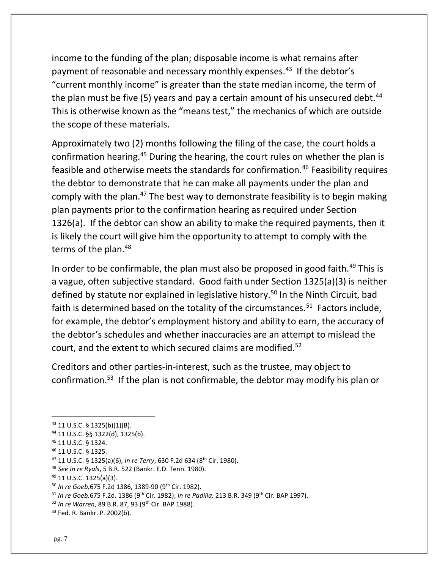income to the funding of the plan; disposable income is what remains after payment of reasonable and necessary monthly expenses.<sup>43</sup> If the debtor's "current monthly income" is greater than the state median income, the term of the plan must be five (5) years and pay a certain amount of his unsecured debt.<sup>44</sup> This is otherwise known as the "means test," the mechanics of which are outside the scope of these materials.

Approximately two (2) months following the filing of the case, the court holds a confirmation hearing.<sup>45</sup> During the hearing, the court rules on whether the plan is feasible and otherwise meets the standards for confirmation.<sup>46</sup> Feasibility requires the debtor to demonstrate that he can make all payments under the plan and comply with the plan.<sup>47</sup> The best way to demonstrate feasibility is to begin making plan payments prior to the confirmation hearing as required under Section 1326(a). If the debtor can show an ability to make the required payments, then it is likely the court will give him the opportunity to attempt to comply with the terms of the plan.<sup>48</sup>

In order to be confirmable, the plan must also be proposed in good faith.<sup>49</sup> This is a vague, often subjective standard. Good faith under Section 1325(a)(3) is neither defined by statute nor explained in legislative history.<sup>50</sup> In the Ninth Circuit, bad faith is determined based on the totality of the circumstances. $51$  Factors include, for example, the debtor's employment history and ability to earn, the accuracy of the debtor's schedules and whether inaccuracies are an attempt to mislead the court, and the extent to which secured claims are modified.<sup>52</sup>

Creditors and other parties-in-interest, such as the trustee, may object to confirmation.<sup>53</sup> If the plan is not confirmable, the debtor may modify his plan or

<sup>43</sup> 11 U.S.C. § 1325(b)(1)(B).

<sup>44</sup> 11 U.S.C. §§ 1322(d), 1325(b).

<sup>45</sup> 11 U.S.C. § 1324.

<sup>46</sup> 11 U.S.C. § 1325.

 $47$  11 U.S.C. § 1325(a)(6), In re Terry, 630 F.2d 634 (8<sup>th</sup> Cir. 1980).

<sup>48</sup> See In re Ryals, 5 B.R. 522 (Bankr. E.D. Tenn. 1980).

<sup>49</sup> 11 U.S.C. 1325(a)(3).

<sup>50</sup> In re Goeb,675 F.2d 1386, 1389-90 (9th Cir. 1982).

 $51$  In re Goeb, 675 F.2d. 1386 (9<sup>th</sup> Cir. 1982); In re Padilla, 213 B.R. 349 (9<sup>th</sup> Cir. BAP 1997).

<sup>52</sup> In re Warren, 89 B.R. 87, 93 (9th Cir. BAP 1988).

<sup>53</sup> Fed. R. Bankr. P. 2002(b).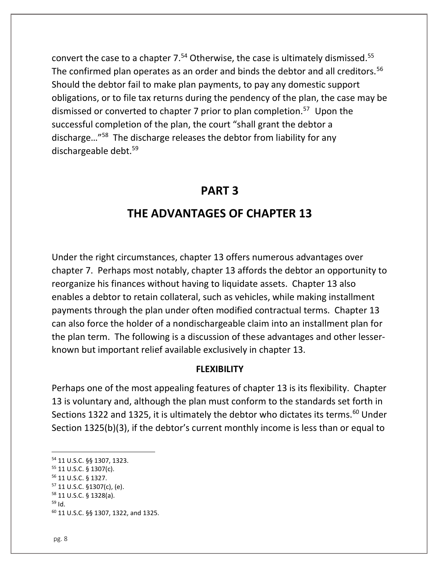convert the case to a chapter  $7.54$  Otherwise, the case is ultimately dismissed.<sup>55</sup> The confirmed plan operates as an order and binds the debtor and all creditors.<sup>56</sup> Should the debtor fail to make plan payments, to pay any domestic support obligations, or to file tax returns during the pendency of the plan, the case may be dismissed or converted to chapter 7 prior to plan completion.<sup>57</sup> Upon the successful completion of the plan, the court "shall grant the debtor a discharge…"<sup>58</sup> The discharge releases the debtor from liability for any dischargeable debt.<sup>59</sup>

## PART 3

# THE ADVANTAGES OF CHAPTER 13

Under the right circumstances, chapter 13 offers numerous advantages over chapter 7. Perhaps most notably, chapter 13 affords the debtor an opportunity to reorganize his finances without having to liquidate assets. Chapter 13 also enables a debtor to retain collateral, such as vehicles, while making installment payments through the plan under often modified contractual terms. Chapter 13 can also force the holder of a nondischargeable claim into an installment plan for the plan term. The following is a discussion of these advantages and other lesserknown but important relief available exclusively in chapter 13.

#### FLEXIBILITY

Perhaps one of the most appealing features of chapter 13 is its flexibility. Chapter 13 is voluntary and, although the plan must conform to the standards set forth in Sections 1322 and 1325, it is ultimately the debtor who dictates its terms.<sup>60</sup> Under Section 1325(b)(3), if the debtor's current monthly income is less than or equal to

<sup>54</sup> 11 U.S.C. §§ 1307, 1323.

<sup>55</sup> 11 U.S.C. § 1307(c).

<sup>56</sup> 11 U.S.C. § 1327.

<sup>57</sup> 11 U.S.C. §1307(c), (e).

<sup>58</sup> 11 U.S.C. § 1328(a).  $59$  Id.

<sup>60</sup> 11 U.S.C. §§ 1307, 1322, and 1325.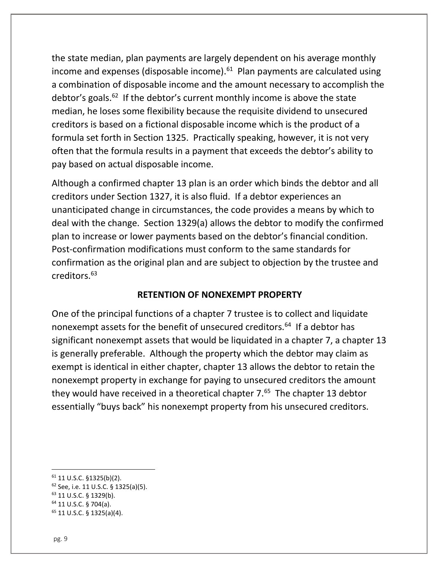the state median, plan payments are largely dependent on his average monthly income and expenses (disposable income). $61$  Plan payments are calculated using a combination of disposable income and the amount necessary to accomplish the debtor's goals. $62$  If the debtor's current monthly income is above the state median, he loses some flexibility because the requisite dividend to unsecured creditors is based on a fictional disposable income which is the product of a formula set forth in Section 1325. Practically speaking, however, it is not very often that the formula results in a payment that exceeds the debtor's ability to pay based on actual disposable income.

Although a confirmed chapter 13 plan is an order which binds the debtor and all creditors under Section 1327, it is also fluid. If a debtor experiences an unanticipated change in circumstances, the code provides a means by which to deal with the change. Section 1329(a) allows the debtor to modify the confirmed plan to increase or lower payments based on the debtor's financial condition. Post-confirmation modifications must conform to the same standards for confirmation as the original plan and are subject to objection by the trustee and creditors.<sup>63</sup>

#### RETENTION OF NONEXEMPT PROPERTY

One of the principal functions of a chapter 7 trustee is to collect and liquidate nonexempt assets for the benefit of unsecured creditors.<sup>64</sup> If a debtor has significant nonexempt assets that would be liquidated in a chapter 7, a chapter 13 is generally preferable. Although the property which the debtor may claim as exempt is identical in either chapter, chapter 13 allows the debtor to retain the nonexempt property in exchange for paying to unsecured creditors the amount they would have received in a theoretical chapter 7.<sup>65</sup> The chapter 13 debtor essentially "buys back" his nonexempt property from his unsecured creditors.

 $61$  11 U.S.C. §1325(b)(2). <sup>62</sup> See, i.e. 11 U.S.C. § 1325(a)(5). <sup>63</sup> 11 U.S.C. § 1329(b). <sup>64</sup> 11 U.S.C. § 704(a). 65 11 U.S.C. § 1325(a)(4).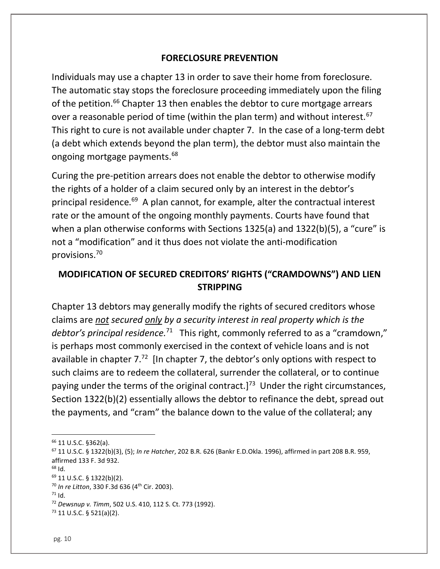### FORECLOSURE PREVENTION

Individuals may use a chapter 13 in order to save their home from foreclosure. The automatic stay stops the foreclosure proceeding immediately upon the filing of the petition.<sup>66</sup> Chapter 13 then enables the debtor to cure mortgage arrears over a reasonable period of time (within the plan term) and without interest.<sup>67</sup> This right to cure is not available under chapter 7. In the case of a long-term debt (a debt which extends beyond the plan term), the debtor must also maintain the ongoing mortgage payments.<sup>68</sup>

Curing the pre-petition arrears does not enable the debtor to otherwise modify the rights of a holder of a claim secured only by an interest in the debtor's principal residence.<sup>69</sup> A plan cannot, for example, alter the contractual interest rate or the amount of the ongoing monthly payments. Courts have found that when a plan otherwise conforms with Sections 1325(a) and 1322(b)(5), a "cure" is not a "modification" and it thus does not violate the anti-modification provisions.<sup>70</sup>

## MODIFICATION OF SECURED CREDITORS' RIGHTS ("CRAMDOWNS") AND LIEN STRIPPING

Chapter 13 debtors may generally modify the rights of secured creditors whose claims are not secured only by a security interest in real property which is the debtor's principal residence.<sup>71</sup> This right, commonly referred to as a "cramdown," is perhaps most commonly exercised in the context of vehicle loans and is not available in chapter  $7^{2}$  [In chapter 7, the debtor's only options with respect to such claims are to redeem the collateral, surrender the collateral, or to continue paying under the terms of the original contract.]<sup>73</sup> Under the right circumstances, Section 1322(b)(2) essentially allows the debtor to refinance the debt, spread out the payments, and "cram" the balance down to the value of the collateral; any

<sup>66</sup> 11 U.S.C. §362(a).

 $67$  11 U.S.C. § 1322(b)(3), (5); In re Hatcher, 202 B.R. 626 (Bankr E.D.Okla. 1996), affirmed in part 208 B.R. 959, affirmed 133 F. 3d 932.

 $68$  Id.

<sup>69</sup> 11 U.S.C. § 1322(b)(2).

 $70$  In re Litton, 330 F.3d 636 (4<sup>th</sup> Cir. 2003).

 $71$  Id.

<sup>72</sup> Dewsnup v. Timm, 502 U.S. 410, 112 S. Ct. 773 (1992).

<sup>73</sup> 11 U.S.C. § 521(a)(2).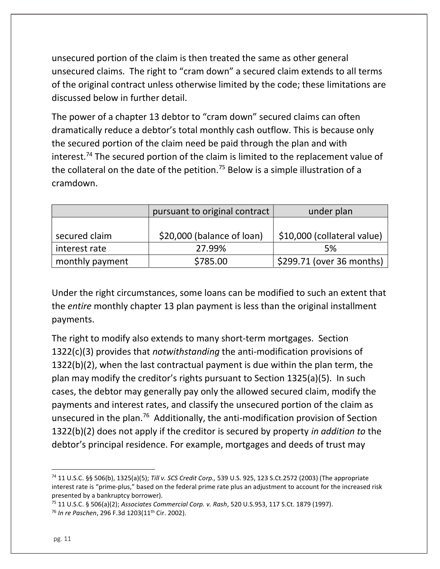unsecured portion of the claim is then treated the same as other general unsecured claims. The right to "cram down" a secured claim extends to all terms of the original contract unless otherwise limited by the code; these limitations are discussed below in further detail.

The power of a chapter 13 debtor to "cram down" secured claims can often dramatically reduce a debtor's total monthly cash outflow. This is because only the secured portion of the claim need be paid through the plan and with interest.<sup>74</sup> The secured portion of the claim is limited to the replacement value of the collateral on the date of the petition.<sup>75</sup> Below is a simple illustration of a cramdown.

|                 | pursuant to original contract | under plan                  |
|-----------------|-------------------------------|-----------------------------|
|                 |                               |                             |
| secured claim   | \$20,000 (balance of loan)    | \$10,000 (collateral value) |
| interest rate   | 27.99%                        | 5%                          |
| monthly payment | \$785.00                      | \$299.71 (over 36 months)   |

Under the right circumstances, some loans can be modified to such an extent that the entire monthly chapter 13 plan payment is less than the original installment payments.

The right to modify also extends to many short-term mortgages. Section 1322(c)(3) provides that notwithstanding the anti-modification provisions of 1322(b)(2), when the last contractual payment is due within the plan term, the plan may modify the creditor's rights pursuant to Section 1325(a)(5). In such cases, the debtor may generally pay only the allowed secured claim, modify the payments and interest rates, and classify the unsecured portion of the claim as unsecured in the plan.<sup>76</sup> Additionally, the anti-modification provision of Section 1322(b)(2) does not apply if the creditor is secured by property in addition to the debtor's principal residence. For example, mortgages and deeds of trust may

<sup>74</sup> 11 U.S.C. §§ 506(b), 1325(a)(5); Till v. SCS Credit Corp., 539 U.S. 925, 123 S.Ct.2572 (2003) (The appropriate interest rate is "prime-plus," based on the federal prime rate plus an adjustment to account for the increased risk presented by a bankruptcy borrower).

 $75$  11 U.S.C. § 506(a)(2); Associates Commercial Corp. v. Rash, 520 U.S.953, 117 S.Ct. 1879 (1997). <sup>76</sup> In re Paschen, 296 F.3d 1203(11<sup>th</sup> Cir. 2002).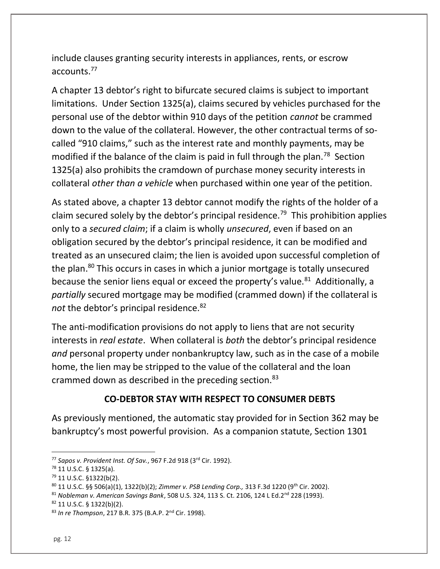include clauses granting security interests in appliances, rents, or escrow accounts.<sup>77</sup>

A chapter 13 debtor's right to bifurcate secured claims is subject to important limitations. Under Section 1325(a), claims secured by vehicles purchased for the personal use of the debtor within 910 days of the petition cannot be crammed down to the value of the collateral. However, the other contractual terms of socalled "910 claims," such as the interest rate and monthly payments, may be modified if the balance of the claim is paid in full through the plan.<sup>78</sup> Section 1325(a) also prohibits the cramdown of purchase money security interests in collateral other than a vehicle when purchased within one year of the petition.

As stated above, a chapter 13 debtor cannot modify the rights of the holder of a claim secured solely by the debtor's principal residence.<sup>79</sup> This prohibition applies only to a secured claim; if a claim is wholly unsecured, even if based on an obligation secured by the debtor's principal residence, it can be modified and treated as an unsecured claim; the lien is avoided upon successful completion of the plan.<sup>80</sup> This occurs in cases in which a junior mortgage is totally unsecured because the senior liens equal or exceed the property's value.<sup>81</sup> Additionally, a partially secured mortgage may be modified (crammed down) if the collateral is not the debtor's principal residence. $82$ 

The anti-modification provisions do not apply to liens that are not security interests in real estate. When collateral is both the debtor's principal residence and personal property under nonbankruptcy law, such as in the case of a mobile home, the lien may be stripped to the value of the collateral and the loan crammed down as described in the preceding section. $83$ 

## CO-DEBTOR STAY WITH RESPECT TO CONSUMER DEBTS

As previously mentioned, the automatic stay provided for in Section 362 may be bankruptcy's most powerful provision. As a companion statute, Section 1301

<sup>82</sup> 11 U.S.C. § 1322(b)(2).

 $77$  Sapos v. Provident Inst. Of Sav., 967 F.2d 918 (3 $rd$  Cir. 1992).

<sup>78</sup> 11 U.S.C. § 1325(a).

<sup>79</sup> 11 U.S.C. §1322(b(2).

<sup>80 11</sup> U.S.C. §§ 506(a)(1), 1322(b)(2); Zimmer v. PSB Lending Corp., 313 F.3d 1220 (9<sup>th</sup> Cir. 2002).

 $81$  Nobleman v. American Savings Bank, 508 U.S. 324, 113 S. Ct. 2106, 124 L Ed.2<sup>nd</sup> 228 (1993).

<sup>83</sup> In re Thompson, 217 B.R. 375 (B.A.P. 2<sup>nd</sup> Cir. 1998).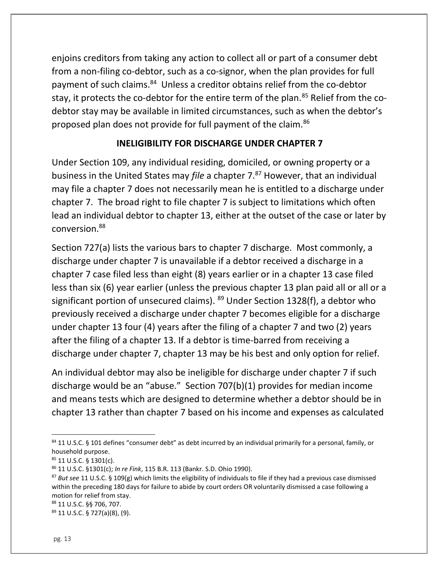enjoins creditors from taking any action to collect all or part of a consumer debt from a non-filing co-debtor, such as a co-signor, when the plan provides for full payment of such claims.<sup>84</sup> Unless a creditor obtains relief from the co-debtor stay, it protects the co-debtor for the entire term of the plan.<sup>85</sup> Relief from the codebtor stay may be available in limited circumstances, such as when the debtor's proposed plan does not provide for full payment of the claim.<sup>86</sup>

### INELIGIBILITY FOR DISCHARGE UNDER CHAPTER 7

Under Section 109, any individual residing, domiciled, or owning property or a business in the United States may file a chapter 7.<sup>87</sup> However, that an individual may file a chapter 7 does not necessarily mean he is entitled to a discharge under chapter 7. The broad right to file chapter 7 is subject to limitations which often lead an individual debtor to chapter 13, either at the outset of the case or later by conversion.<sup>88</sup>

Section 727(a) lists the various bars to chapter 7 discharge. Most commonly, a discharge under chapter 7 is unavailable if a debtor received a discharge in a chapter 7 case filed less than eight (8) years earlier or in a chapter 13 case filed less than six (6) year earlier (unless the previous chapter 13 plan paid all or all or a significant portion of unsecured claims).  $89$  Under Section 1328(f), a debtor who previously received a discharge under chapter 7 becomes eligible for a discharge under chapter 13 four (4) years after the filing of a chapter 7 and two (2) years after the filing of a chapter 13. If a debtor is time-barred from receiving a discharge under chapter 7, chapter 13 may be his best and only option for relief.

An individual debtor may also be ineligible for discharge under chapter 7 if such discharge would be an "abuse." Section 707(b)(1) provides for median income and means tests which are designed to determine whether a debtor should be in chapter 13 rather than chapter 7 based on his income and expenses as calculated

<sup>88</sup> 11 U.S.C. §§ 706, 707.

89 11 U.S.C. § 727(a)(8), (9).

<sup>84 11</sup> U.S.C. § 101 defines "consumer debt" as debt incurred by an individual primarily for a personal, family, or household purpose.

<sup>85</sup> 11 U.S.C. § 1301(c).

<sup>86</sup> 11 U.S.C. §1301(c); In re Fink, 115 B.R. 113 (Bankr. S.D. Ohio 1990).

<sup>&</sup>lt;sup>87</sup> But see 11 U.S.C. § 109(g) which limits the eligibility of individuals to file if they had a previous case dismissed within the preceding 180 days for failure to abide by court orders OR voluntarily dismissed a case following a motion for relief from stay.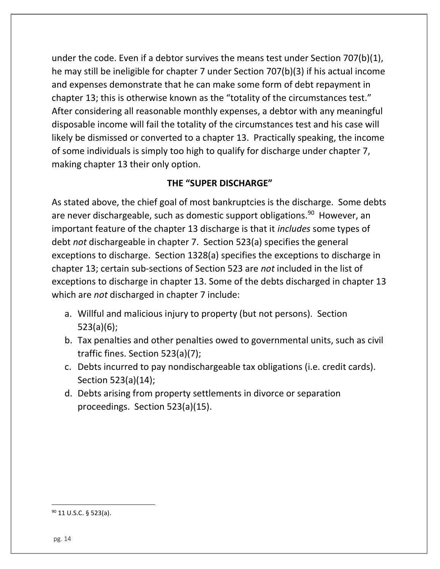under the code. Even if a debtor survives the means test under Section 707(b)(1), he may still be ineligible for chapter 7 under Section 707(b)(3) if his actual income and expenses demonstrate that he can make some form of debt repayment in chapter 13; this is otherwise known as the "totality of the circumstances test." After considering all reasonable monthly expenses, a debtor with any meaningful disposable income will fail the totality of the circumstances test and his case will likely be dismissed or converted to a chapter 13. Practically speaking, the income of some individuals is simply too high to qualify for discharge under chapter 7, making chapter 13 their only option.

## THE "SUPER DISCHARGE"

As stated above, the chief goal of most bankruptcies is the discharge. Some debts are never dischargeable, such as domestic support obligations.<sup>90</sup> However, an important feature of the chapter 13 discharge is that it includes some types of debt not dischargeable in chapter 7. Section 523(a) specifies the general exceptions to discharge. Section 1328(a) specifies the exceptions to discharge in chapter 13; certain sub-sections of Section 523 are not included in the list of exceptions to discharge in chapter 13. Some of the debts discharged in chapter 13 which are *not* discharged in chapter 7 include:

- a. Willful and malicious injury to property (but not persons). Section 523(a)(6);
- b. Tax penalties and other penalties owed to governmental units, such as civil traffic fines. Section 523(a)(7);
- c. Debts incurred to pay nondischargeable tax obligations (i.e. credit cards). Section 523(a)(14);
- d. Debts arising from property settlements in divorce or separation proceedings. Section 523(a)(15).

90 11 U.S.C. § 523(a).